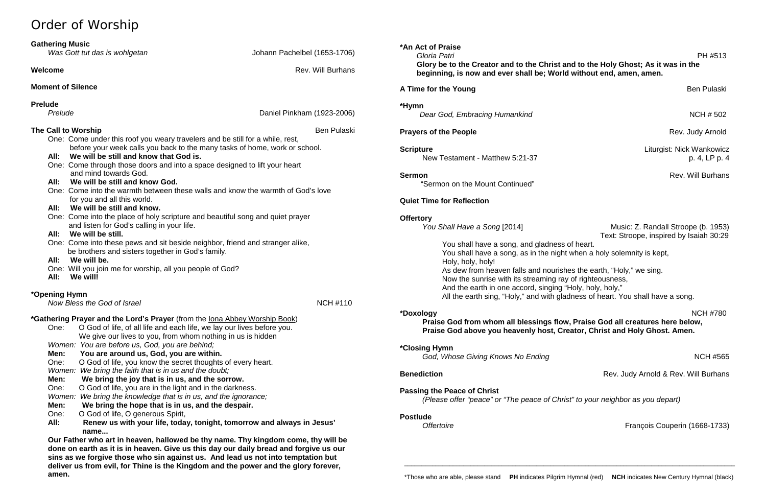## Order of Worship

| <b>Gathering Music</b> |                                 |  |  |
|------------------------|---------------------------------|--|--|
|                        | $14/2 - 2 + 11/6 + 1 = 12 - 12$ |  |  |

| <b>Gathering Music</b><br>Was Gott tut das is wohlgetan                                                                                                                                                                                                                                                                                                                                                                                                                                                                                                                                                                                             | Johann Pachelbel (1653-1706) |
|-----------------------------------------------------------------------------------------------------------------------------------------------------------------------------------------------------------------------------------------------------------------------------------------------------------------------------------------------------------------------------------------------------------------------------------------------------------------------------------------------------------------------------------------------------------------------------------------------------------------------------------------------------|------------------------------|
|                                                                                                                                                                                                                                                                                                                                                                                                                                                                                                                                                                                                                                                     |                              |
| <b>Welcome</b>                                                                                                                                                                                                                                                                                                                                                                                                                                                                                                                                                                                                                                      | <b>Rev. Will Burhans</b>     |
| <b>Moment of Silence</b>                                                                                                                                                                                                                                                                                                                                                                                                                                                                                                                                                                                                                            |                              |
| <b>Prelude</b>                                                                                                                                                                                                                                                                                                                                                                                                                                                                                                                                                                                                                                      |                              |
| Prelude                                                                                                                                                                                                                                                                                                                                                                                                                                                                                                                                                                                                                                             | Daniel Pinkham (1923-2006)   |
| The Call to Worship                                                                                                                                                                                                                                                                                                                                                                                                                                                                                                                                                                                                                                 | <b>Ben Pulaski</b>           |
| One: Come under this roof you weary travelers and be still for a while, rest,<br>before your week calls you back to the many tasks of home, work or school.<br>We will be still and know that God is.<br>All:<br>One: Come through those doors and into a space designed to lift your heart<br>and mind towards God.<br>All: We will be still and know God.<br>One: Come into the warmth between these walls and know the warmth of God's love<br>for you and all this world.<br>We will be still and know.<br>All:<br>One: Come into the place of holy scripture and beautiful song and quiet prayer<br>and listen for God's calling in your life. |                              |
| All:<br>We will be still.<br>One: Come into these pews and sit beside neighbor, friend and stranger alike,                                                                                                                                                                                                                                                                                                                                                                                                                                                                                                                                          |                              |
| be brothers and sisters together in God's family.<br>We will be.<br>All:<br>One: Will you join me for worship, all you people of God?<br>All:<br>We will!                                                                                                                                                                                                                                                                                                                                                                                                                                                                                           |                              |
| *Opening Hymn<br>Now Bless the God of Israel                                                                                                                                                                                                                                                                                                                                                                                                                                                                                                                                                                                                        | <b>NCH #110</b>              |
| *Gathering Prayer and the Lord's Prayer (from the lona Abbey Worship Book)<br>O God of life, of all life and each life, we lay our lives before you.<br>One:<br>We give our lives to you, from whom nothing in us is hidden                                                                                                                                                                                                                                                                                                                                                                                                                         |                              |
| Women: You are before us, God, you are behind;<br>You are around us, God, you are within.<br>Men:                                                                                                                                                                                                                                                                                                                                                                                                                                                                                                                                                   |                              |
| One:<br>O God of life, you know the secret thoughts of every heart.<br>We bring the faith that is in us and the doubt;<br>Women:<br>We bring the joy that is in us, and the sorrow.<br>Men:                                                                                                                                                                                                                                                                                                                                                                                                                                                         |                              |

*Music: Z. Randall Stroope (b. 1953)* Text: Stroope, inspired by Isaiah 30:29 You shall have a song, and gladness of heart. You shall have a song, as in the night when a holy solemnity is kept,

One: O God of life, you are in the light and in the darkness. *Women: We bring the knowledge that is in us, and the ignorance;* **Men: We bring the hope that is in us, and the despair.**

One: O God of life, O generous Spirit,

**All: Renew us with your life, today, tonight, tomorrow and always in Jesus'** 

 **name...**

**Our Father who art in heaven, hallowed be thy name. Thy kingdom come, thy will be done on earth as it is in heaven. Give us this day our daily bread and forgive us our sins as we forgive those who sin against us. And lead us not into temptation but deliver us from evil, for Thine is the Kingdom and the power and the glory forever, amen.**

**\*An Act of Praise**

 *Gloria Patri* PH #513

**Glory be to the Creator and to the Christ and to the Holy Ghost; As it was in the beginning, is now and ever shall be; World without end, amen, amen.**

**A Time for the Young Ben Pulaski** Ben Pulaski

**Dear God, Embracing Humankind** NCH # 502

**Prayers of the People Rev. Judy Arnold Rev. Judy Arnold** 

**Scripture** Liturgist: Nick Wankowicz New Testament - Matthew 5:21-37 p. 4, LP p. 4

**Sermon** Rev. Will Burhans

**\*Hymn** 

"Sermon on the Mount Continued"

**Quiet Time for Reflection**

**Offertory**<br>You Shall Have a Song [2014]

Holy, holy, holy!

As dew from heaven falls and nourishes the earth, "Holy," we sing. Now the sunrise with its streaming ray of righteousness, And the earth in one accord, singing "Holy, holy, holy," All the earth sing, "Holy," and with gladness of heart. You shall have a song.

**\*Doxology** NCH #780 **Praise God from whom all blessings flow, Praise God all creatures here below, Praise God above you heavenly host, Creator, Christ and Holy Ghost. Amen.**

God, Whose Giving Knows No Ending Number 2012 19:30 NCH #565

**Benediction Benediction Rev. Judy Arnold & Rev. Will Burhans** 

**\*Closing Hymn** 

**Passing the Peace of Christ**

*(Please offer "peace" or "The peace of Christ" to your neighbor as you depart)*

*Offertoire* **François Couperin (1668-1733)** 

**Postlude**

\_\_\_\_\_\_\_\_\_\_\_\_\_\_\_\_\_\_\_\_\_\_\_\_\_\_\_\_\_\_\_\_\_\_\_\_\_\_\_\_\_\_\_\_\_\_\_\_\_\_\_\_\_\_\_\_\_\_\_\_\_\_\_\_\_\_\_\_\_\_\_\_\_\_\_\_\_\_\_\_\_\_\_\_\_\_\_\_\_\_\_\_\_\_\_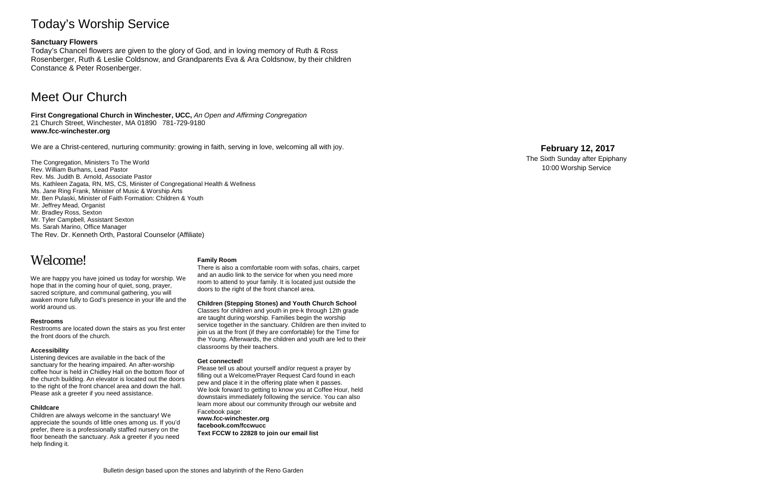## Today's Worship Service

#### **Sanctuary Flowers**

Today's Chancel flowers are given to the glory of God, and in loving memory of Ruth & Ross Rosenberger, Ruth & Leslie Coldsnow, and Grandparents Eva & Ara Coldsnow, by their children Constance & Peter Rosenberger.

### Meet Our Church

**First Congregational Church in Winchester, UCC,** *An Open and Affirming Congregation* 21 Church Street, Winchester, MA 01890 781 -729 -9180 **www.fcc -winchester.org**

We are a Christ -centered, nurturing community: growing in faith, serving in love, welcoming all with joy.

The Congregation, Ministers To The World Rev. William Burhans, Lead Pastor Rev. Ms. Judith B. Arnold, Associate Pastor Ms. Kathleen Zagata, RN, MS, CS, Minister of Congregational Health & Wellness Ms. Jane Ring Frank, Minister of Music & Worship Arts Mr. Ben Pulaski, Minister of Faith Formation: Children & Youth Mr. Jeffrey Mead, Organist Mr. Bradley Ross, Sexton Mr. Tyler Campbell, Assistant Sexton Ms. Sarah Marino, Office Manager The Rev. Dr. Kenneth Orth, Pastoral Counselor (Affiliate)

## Welcome!

We are happy you have joined us today for worship. We hope that in the coming hour of quiet, song, prayer, sacred scripture, and communal gathering, you will awaken more fully to God's presence in your life and the world around us.

#### **Restrooms**

Restrooms are located down the stairs as you first enter the front doors of the church.

#### **Accessibility**

Listening devices are available in the back of the sanctuary for the hearing impaired. An after -worship coffee hour is held in Chidley Hall on the bottom floor of the church building. An elevator is located out the doors to the right of the front chancel area and down the hall. Please ask a greeter if you need assistance.

#### **Childcare**

Children are always welcome in the sanctuary! We appreciate the sounds of little ones among us. If you'd prefer, there is a professionally staffed nursery on the floor beneath the sanctuary. Ask a greeter if you need help finding it.

#### **Family Room**

There is also a comfortable room with sofas, chairs, carpet and an audio link to the service for when you need more room to attend to your family. It is located just outside the doors to the right of the front chancel area.

#### **Children (Stepping Stones) and Youth Church School**

Classes for children and youth in pre -k through 12th grade are taught during worship. Families begin the worship service together in the sanctuary. Children are then invited to join us at the front (if they are comfortable) for the Time for the Young. Afterwards, the children and youth are led to their classrooms by their teachers.

#### **Get connected!**

Please tell us about yourself and/or request a prayer by filling out a Welcome/Prayer Request Card found in each pew and place it in the offering plate when it passes. We look forward to getting to know you at Coffee Hour, held downstairs immediately following the service. You can also learn more about our community through our website and Facebook page: **www.fcc -winchester.org facebook.com/fccwucc Text FCCW to 22828 to join our email list**

### **February 12 , 2017**

The Sixth Sunday after Epiphany 10:00 Worship Service